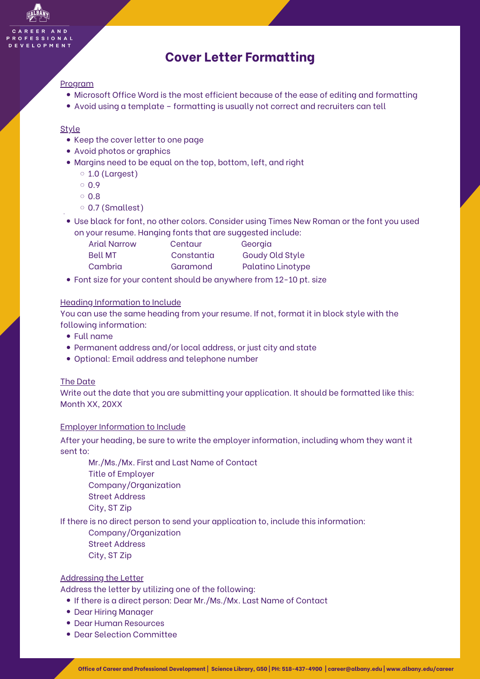## **Cover Letter Formatting**

#### Program

- Microsoft Office Word is the most efficient because of the ease of editing and formatting
- Avoid using a template formatting is usually not correct and recruiters can tell

#### Style

- Keep the cover letter to one page
- Avoid photos or graphics
- Margins need to be equal on the top, bottom, left, and right
	- $\circ$  1.0 (Largest)
	- $0.9$
	- $0.8$
	- 0.7 (Smallest)
- Use black for font, no other colors. Consider using Times New Roman or the font you used on your resume. Hanging fonts that are suggested include:
	- Arial Narrow Centaur Georgia Bell MT Constantia Goudy Old Style Cambria Garamond Palatino Linotype
- Font size for your content should be anywhere from 12-10 pt. size

#### Heading Information to Include

You can use the same heading from your resume. If not, format it in block style with the following information:

- Full name
- Permanent address and/or local address, or just city and state
- Optional: Email address and telephone number

#### The Date

Write out the date that you are submitting your application. It should be formatted like this: Month XX, 20XX

#### Employer Information to Include

After your heading, be sure to write the employer information, including whom they want it sent to:

Mr./Ms./Mx. First and Last Name of Contact Title of Employer Company/Organization Street Address City, ST Zip

If there is no direct person to send your application to, include this information:

Company/Organization Street Address City, ST Zip

#### Addressing the Letter

Address the letter by utilizing one of the following:

- If there is a direct person: Dear Mr./Ms./Mx. Last Name of Contact
- Dear Hiring Manager
- Dear Human Resources
- Dear Selection Committee